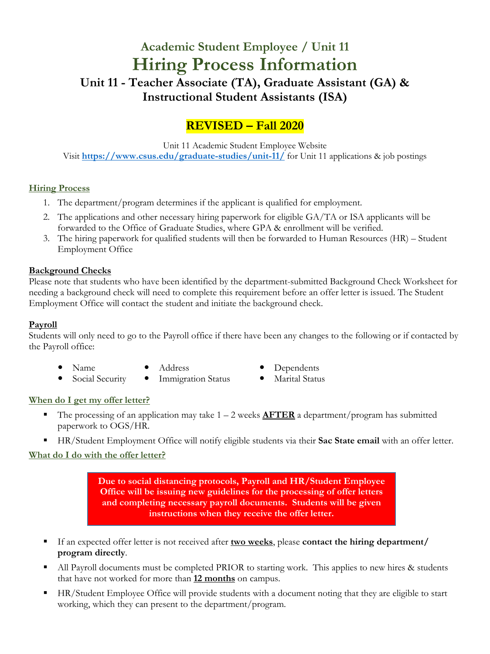# **Academic Student Employee / Unit 11 Hiring Process Information Unit 11 - Teacher Associate (TA), Graduate Assistant (GA) & Instructional Student Assistants (ISA)**

# **REVISED – Fall 2020**

Unit 11 Academic Student Employee Website Visit **<https://www.csus.edu/graduate-studies/unit-11/>** for Unit 11 applications & job postings

# **Hiring Process**

- 1. The department/program determines if the applicant is qualified for employment.
- 2. The applications and other necessary hiring paperwork for eligible GA/TA or ISA applicants will be forwarded to the Office of Graduate Studies, where GPA & enrollment will be verified.
- 3. The hiring paperwork for qualified students will then be forwarded to Human Resources (HR) Student Employment Office

#### **Background Checks**

Please note that students who have been identified by the department-submitted Background Check Worksheet for needing a background check will need to complete this requirement before an offer letter is issued. The Student Employment Office will contact the student and initiate the background check.

#### **Payroll**

Students will only need to go to the Payroll office if there have been any changes to the following or if contacted by the Payroll office:

- Name Address Dependents
	-
- 
- Social Security Immigration Status Marital Status

# **When do I get my offer letter?**

- The processing of an application may take  $1 2$  weeks  $\triangle FTER$  a department/program has submitted paperwork to OGS/HR.
- HR/Student Employment Office will notify eligible students via their **Sac State email** with an offer letter.

# **What do I do with the offer letter?**

**Due to social distancing protocols, Payroll and HR/Student Employee Office will be issuing new guidelines for the processing of offer letters and completing necessary payroll documents. Students will be given instructions when they receive the offer letter.**

- If an expected offer letter is not received after **two weeks**, please **contact the hiring department/ program directly**.
- If All Payroll documents must be completed PRIOR to starting work. This applies to new hires & students that have not worked for more than **12 months** on campus.
- HR/Student Employee Office will provide students with a document noting that they are eligible to start working, which they can present to the department/program.